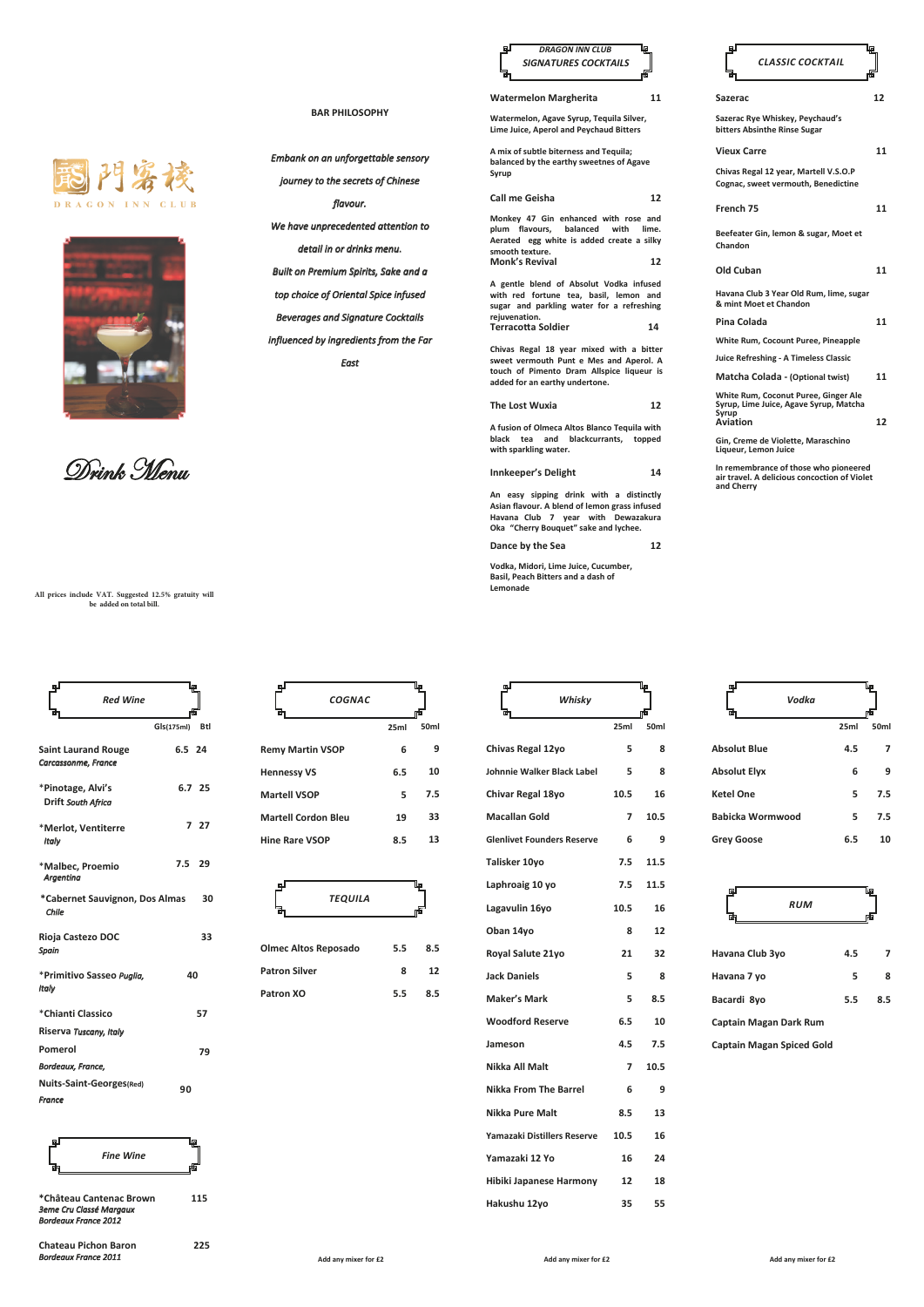



Drink Menu

**All prices include VAT. Suggested 12.5% gratuity will be added on total bill.**

| щJ<br><b>Red Wine</b><br>ශ්                       | l₽<br>rta  |     |
|---------------------------------------------------|------------|-----|
|                                                   | Gls(175ml) | Btl |
| <b>Saint Laurand Rouge</b><br>Carcassonme, France | 6.5 24     |     |
| *Pinotage, Alvi's<br>Drift South Africa           | 6.7 25     |     |
| *Merlot, Ventiterre<br>Italy                      |            | 727 |
| *Malbec, Proemio<br><b>Argentina</b>              | 7.5        | 29  |
| *Cabernet Sauvignon, Dos Almas<br>Chile           |            | 30  |
| Rioja Castezo DOC<br>Spain                        |            | 33  |
| *Primitivo Sasseo Puglia,<br>Italy                | 40         |     |
| *Chianti Classico                                 |            | 57  |
| Riserva Tuscany, Italy                            |            |     |
| Pomerol                                           |            | 79  |
| Bordeaux, France,                                 |            |     |
| Nuits-Saint-Georges(Red)                          | 90         |     |
| France                                            |            |     |



**\*Château Cantenac Brown 115** *3eme Cru Classé Margaux Bordeaux France 2012*

**Chateau Pichon Baron 225** *Bordeaux France 2011*

| COGNAC<br>긂                |      | гtБ              |
|----------------------------|------|------------------|
|                            | 25ml | 50 <sub>ml</sub> |
| <b>Remy Martin VSOP</b>    | 6    | 9                |
| <b>Hennessy VS</b>         | 6.5  | 10               |
| <b>Martell VSOP</b>        | 5    | 7.5              |
| <b>Martell Cordon Bleu</b> | 19   | 33               |
| <b>Hine Rare VSOP</b>      | 8.5  | 13               |
|                            |      |                  |
| ங                          |      | luo              |

٦m

**BAR PHILOSOPHY**

*Embank on an unforgettable sensory journey to the secrets of Chinese flavour. We have unprecedented attention to detail in or drinks menu. Built on Premium Spirits, Sake and a top choice of Oriental Spice infused Beverages and Signature Cocktails influenced by ingredients from the Far East*

|                             | <b>TEQUILA</b> |     |     |
|-----------------------------|----------------|-----|-----|
|                             |                |     |     |
| <b>Olmec Altos Reposado</b> |                | 5.5 | 8.5 |
| <b>Patron Silver</b>        |                | 8   | 12  |
| Patron XO                   |                | 5.5 | 8.5 |



**Watermelon Margherita 11**

**Watermelon, Agave Syrup, Tequila Silver, Lime Juice, Aperol and Peychaud Bitters**

**A mix of subtle biterness and Tequila; balanced by the earthy sweetnes of Agave Syrup**

**Call me Geisha 12 Monkey 47 Gin enhanced with rose and plum flavours, balanced with lime. Aerated egg white is added create a silky smooth texture. Monk's Revival 12**

**A gentle blend of Absolut Vodka infused with red fortune tea, basil, lemon and sugar and parkling water for a refreshing rejuvenation. Terracotta Soldier 14**

**Chivas Regal 18 year mixed with a bitter sweet vermouth Punt e Mes and Aperol. A touch of Pimento Dram Allspice liqueur is added for an earthy undertone.**

**The Lost Wuxia 12**

**A fusion of Olmeca Altos Blanco Tequila with black tea and blackcurrants, topped with sparkling water.**

**Innkeeper's Delight 14**

**An easy sipping drink with a distinctly Asian flavour. A blend of lemon grass infused Havana Club 7 year with Dewazakura Oka "Cherry Bouquet" sake and lychee.**

**Dance by the Sea 12**

**Vodka, Midori, Lime Juice, Cucumber, Basil, Peach Bitters and a dash of Lemonade**

| வி<br>Whisky                      |  | եք   |      |  |
|-----------------------------------|--|------|------|--|
|                                   |  |      | 而    |  |
|                                   |  | 25ml | 50ml |  |
| Chivas Regal 12yo                 |  | 5    | ጸ    |  |
| Johnnie Walker Black Label        |  | 5    | ጸ    |  |
| Chivar Regal 18yo                 |  | 10.5 | 16   |  |
| <b>Macallan Gold</b>              |  | 7    | 10.5 |  |
| <b>Glenlivet Founders Reserve</b> |  | 6    | 9    |  |
| Talisker 10yo                     |  | 7.5  | 11.5 |  |
| Laphroaig 10 yo                   |  | 7.5  | 11.5 |  |
| Lagavulin 16yo                    |  | 10.5 | 16   |  |
| Oban 14yo                         |  | 8    | 12   |  |
| Royal Salute 21yo                 |  | 21   | 32   |  |
| <b>Jack Daniels</b>               |  | 5    | 8    |  |
| <b>Maker's Mark</b>               |  | 5    | 8.5  |  |
| <b>Woodford Reserve</b>           |  | 6.5  | 10   |  |
| Jameson                           |  | 4.5  | 7.5  |  |
| Nikka All Malt                    |  | 7    | 10.5 |  |
| <b>Nikka From The Barrel</b>      |  | 6    | 9    |  |
| Nikka Pure Malt                   |  | 8.5  | 13   |  |
| Yamazaki Distillers Reserve       |  | 10.5 | 16   |  |
| Yamazaki 12 Yo                    |  | 16   | 24   |  |
| Hibiki Japanese Harmony           |  | 12   | 18   |  |
| Hakushu 12yo                      |  | 35   | 55   |  |

| வி<br>CLASSIC COCKTAIL                                                                  | ₽  |
|-----------------------------------------------------------------------------------------|----|
| Sazerac                                                                                 | 12 |
| Sazerac Rye Whiskey, Peychaud's<br>bitters Absinthe Rinse Sugar                         |    |
| <b>Vieux Carre</b>                                                                      | 11 |
| Chivas Regal 12 year, Martell V.S.O.P<br>Cognac, sweet vermouth, Benedictine            |    |
| French 75                                                                               | 11 |
| Beefeater Gin, lemon & sugar, Moet et<br>Chandon                                        |    |
| Old Cuban                                                                               | 11 |
| Havana Club 3 Year Old Rum, lime, sugar<br>& mint Moet et Chandon                       |    |
| Pina Colada                                                                             | 11 |
| White Rum, Cocount Puree, Pineapple                                                     |    |
| Juice Refreshing - A Timeless Classic                                                   |    |
| Matcha Colada - (Optional twist)                                                        | 11 |
| White Rum, Coconut Puree, Ginger Ale<br>Syrup, Lime Juice, Agave Syrup, Matcha<br>Syrup |    |
| Aviation                                                                                | 12 |

**Chandon**

**Gin, Creme de Violette, Maraschino Liqueur, Lemon Juice**

**In remembrance of those who pioneered air travel. A delicious concoction of Violet and Cherry**

| Vodka<br>酣              |      | Lp               |
|-------------------------|------|------------------|
|                         | 25ml | 50 <sub>ml</sub> |
| <b>Absolut Blue</b>     | 4.5  |                  |
| <b>Absolut Elyx</b>     | 6    | 9                |
| <b>Ketel One</b>        | 5    | 7.5              |
| <b>Babicka Wormwood</b> | 5    | 7.5              |
| <b>Grey Goose</b>       | 6.5  | 10               |



**Bacardi 8yo 5.5 Captain Magan Dark Rum 8.5**

**Captain Magan Spiced Gold** 

**Add any mixer for £2**